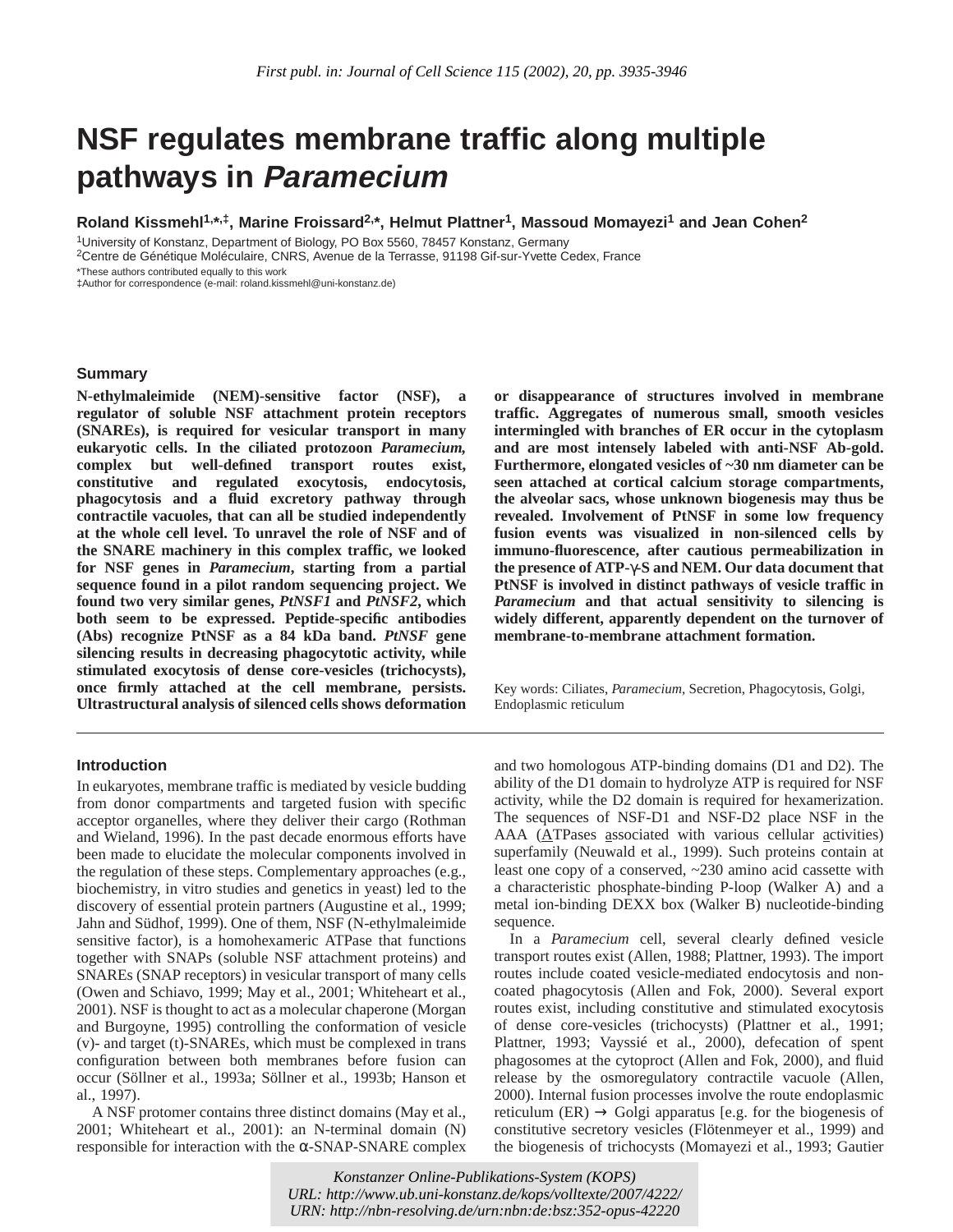# **NSF regulates membrane traffic along multiple pathways in Paramecium**

**Roland Kissmehl1,\*,‡, Marine Froissard2,\*, Helmut Plattner1, Massoud Momayezi1 and Jean Cohen2**

1University of Konstanz, Department of Biology, PO Box 5560, 78457 Konstanz, Germany

2Centre de Génétique Moléculaire, CNRS, Avenue de la Terrasse, 91198 Gif-sur-Yvette Cedex, France

\*These authors contributed equally to this work

‡Author for correspondence (e-mail: roland.kissmehl@uni-konstanz.de)

#### **Summary**

**N-ethylmaleimide (NEM)-sensitive factor (NSF), a regulator of soluble NSF attachment protein receptors (SNAREs), is required for vesicular transport in many eukaryotic cells. In the ciliated protozoon** *Paramecium,* **complex but well-defined transport routes exist, constitutive and regulated exocytosis, endocytosis, phagocytosis and a fluid excretory pathway through contractile vacuoles, that can all be studied independently at the whole cell level. To unravel the role of NSF and of the SNARE machinery in this complex traffic, we looked for NSF genes in** *Paramecium***, starting from a partial sequence found in a pilot random sequencing project. We found two very similar genes,** *PtNSF1* **and** *PtNSF2***, which both seem to be expressed. Peptide-specific antibodies (Abs) recognize PtNSF as a 84 kDa band.** *PtNSF* **gene silencing results in decreasing phagocytotic activity, while stimulated exocytosis of dense core-vesicles (trichocysts), once firmly attached at the cell membrane, persists. Ultrastructural analysis of silenced cells shows deformation**

## **Introduction**

In eukaryotes, membrane traffic is mediated by vesicle budding from donor compartments and targeted fusion with specific acceptor organelles, where they deliver their cargo (Rothman and Wieland, 1996). In the past decade enormous efforts have been made to elucidate the molecular components involved in the regulation of these steps. Complementary approaches (e.g., biochemistry, in vitro studies and genetics in yeast) led to the discovery of essential protein partners (Augustine et al., 1999; Jahn and Südhof, 1999). One of them, NSF (N-ethylmaleimide sensitive factor), is a homohexameric ATPase that functions together with SNAPs (soluble NSF attachment proteins) and SNAREs (SNAP receptors) in vesicular transport of many cells (Owen and Schiavo, 1999; May et al., 2001; Whiteheart et al., 2001). NSF is thought to act as a molecular chaperone (Morgan and Burgoyne, 1995) controlling the conformation of vesicle (v)- and target (t)-SNAREs, which must be complexed in trans configuration between both membranes before fusion can occur (Söllner et al., 1993a; Söllner et al., 1993b; Hanson et al., 1997).

A NSF protomer contains three distinct domains (May et al., 2001; Whiteheart et al., 2001): an N-terminal domain (N) responsible for interaction with the α-SNAP-SNARE complex

**or disappearance of structures involved in membrane traffic. Aggregates of numerous small, smooth vesicles intermingled with branches of ER occur in the cytoplasm and are most intensely labeled with anti-NSF Ab-gold. Furthermore, elongated vesicles of ~30 nm diameter can be seen attached at cortical calcium storage compartments, the alveolar sacs, whose unknown biogenesis may thus be revealed. Involvement of PtNSF in some low frequency fusion events was visualized in non-silenced cells by immuno-fluorescence, after cautious permeabilization in the presence of ATP-**γ**-S and NEM. Our data document that PtNSF is involved in distinct pathways of vesicle traffic in** *Paramecium* **and that actual sensitivity to silencing is widely different, apparently dependent on the turnover of membrane-to-membrane attachment formation.** 

Key words: Ciliates, *Paramecium*, Secretion, Phagocytosis, Golgi, Endoplasmic reticulum

and two homologous ATP-binding domains (D1 and D2). The ability of the D1 domain to hydrolyze ATP is required for NSF activity, while the D2 domain is required for hexamerization. The sequences of NSF-D1 and NSF-D2 place NSF in the AAA (ATPases associated with various cellular activities) superfamily (Neuwald et al., 1999). Such proteins contain at least one copy of a conserved, ~230 amino acid cassette with a characteristic phosphate-binding P-loop (Walker A) and a metal ion-binding DEXX box (Walker B) nucleotide-binding sequence.

In a *Paramecium* cell, several clearly defined vesicle transport routes exist (Allen, 1988; Plattner, 1993). The import routes include coated vesicle-mediated endocytosis and noncoated phagocytosis (Allen and Fok, 2000). Several export routes exist, including constitutive and stimulated exocytosis of dense core-vesicles (trichocysts) (Plattner et al., 1991; Plattner, 1993; Vayssié et al., 2000), defecation of spent phagosomes at the cytoproct (Allen and Fok, 2000), and fluid release by the osmoregulatory contractile vacuole (Allen, 2000). Internal fusion processes involve the route endoplasmic reticulum (ER)  $\rightarrow$  Golgi apparatus [e.g. for the biogenesis of constitutive secretory vesicles (Flötenmeyer et al., 1999) and the biogenesis of trichocysts (Momayezi et al., 1993; Gautier

*Konstanzer Online-Publikations-System (KOPS) URL[: http://www.ub.uni-konstanz.de/kops/volltexte/2007/4222/](http://www.ub.uni-konstanz.de/kops/volltexte/2007/4222/)  URN[: http://nbn-resolving.de/urn:nbn:de:bsz:352-opus-42220](http://nbn-resolving.de/urn:nbn:de:bsz:352-opus-42220)*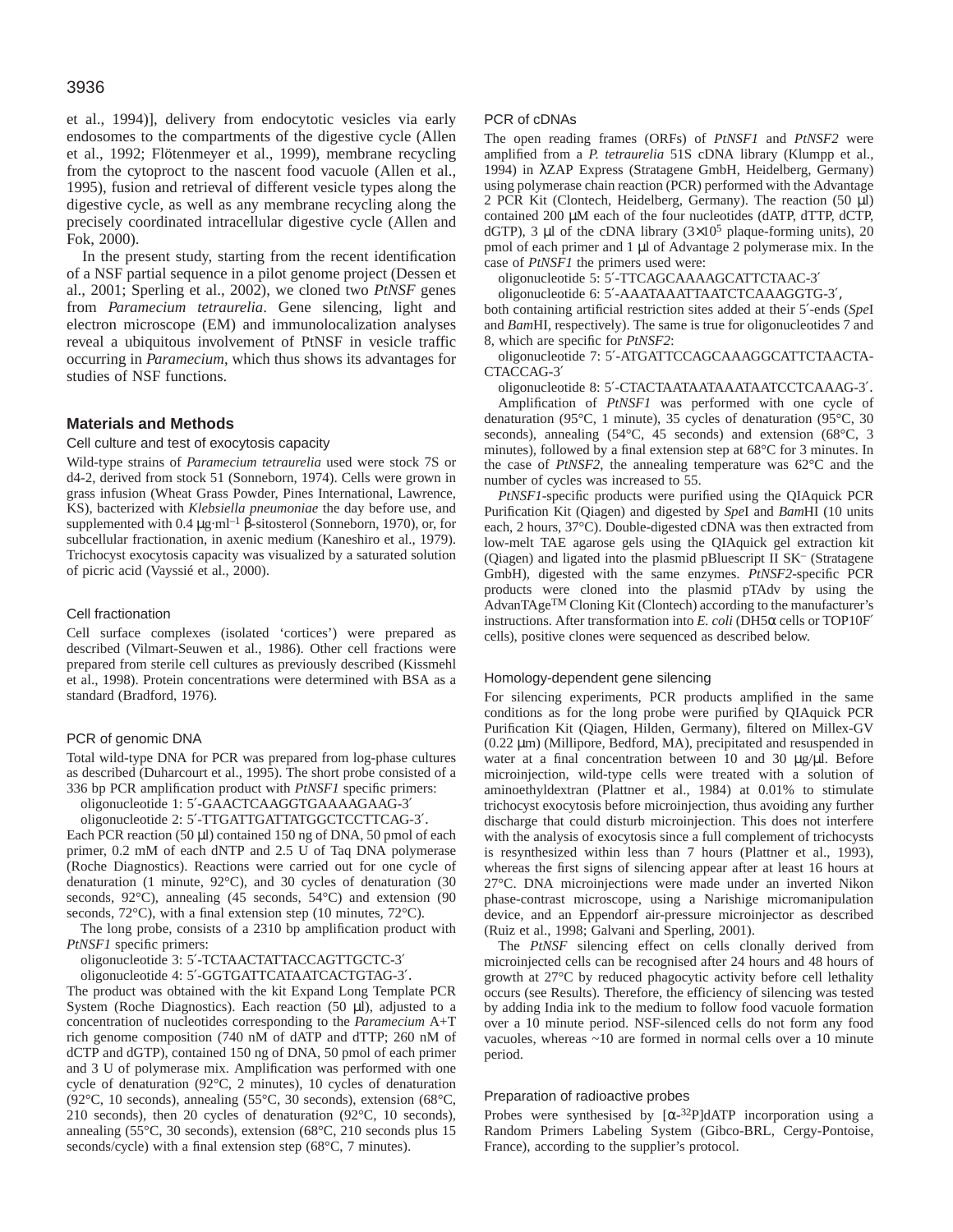# et al., 1994)], delivery from endocytotic vesicles via early endosomes to the compartments of the digestive cycle (Allen et al., 1992; Flötenmeyer et al., 1999), membrane recycling from the cytoproct to the nascent food vacuole (Allen et al., 1995), fusion and retrieval of different vesicle types along the digestive cycle, as well as any membrane recycling along the precisely coordinated intracellular digestive cycle (Allen and Fok, 2000).

In the present study, starting from the recent identification of a NSF partial sequence in a pilot genome project (Dessen et al., 2001; Sperling et al., 2002), we cloned two *PtNSF* genes from *Paramecium tetraurelia*. Gene silencing, light and electron microscope (EM) and immunolocalization analyses reveal a ubiquitous involvement of PtNSF in vesicle traffic occurring in *Paramecium*, which thus shows its advantages for studies of NSF functions.

## **Materials and Methods**

#### Cell culture and test of exocytosis capacity

Wild-type strains of *Paramecium tetraurelia* used were stock 7S or d4-2, derived from stock 51 (Sonneborn, 1974). Cells were grown in grass infusion (Wheat Grass Powder, Pines International, Lawrence, KS), bacterized with *Klebsiella pneumoniae* the day before use, and supplemented with 0.4  $\mu$ g·ml<sup>-1</sup> β-sitosterol (Sonneborn, 1970), or, for subcellular fractionation, in axenic medium (Kaneshiro et al., 1979). Trichocyst exocytosis capacity was visualized by a saturated solution of picric acid (Vayssié et al., 2000).

#### Cell fractionation

Cell surface complexes (isolated 'cortices') were prepared as described (Vilmart-Seuwen et al., 1986). Other cell fractions were prepared from sterile cell cultures as previously described (Kissmehl et al., 1998). Protein concentrations were determined with BSA as a standard (Bradford, 1976).

#### PCR of genomic DNA

Total wild-type DNA for PCR was prepared from log-phase cultures as described (Duharcourt et al., 1995). The short probe consisted of a 336 bp PCR amplification product with *PtNSF1* specific primers:

oligonucleotide 1: 5′-GAACTCAAGGTGAAAAGAAG-3′

oligonucleotide 2: 5′-TTGATTGATTATGGCTCCTTCAG-3′. Each PCR reaction (50 µl) contained 150 ng of DNA, 50 pmol of each primer, 0.2 mM of each dNTP and 2.5 U of Taq DNA polymerase (Roche Diagnostics). Reactions were carried out for one cycle of denaturation (1 minute, 92°C), and 30 cycles of denaturation (30 seconds, 92°C), annealing (45 seconds, 54°C) and extension (90 seconds, 72°C), with a final extension step (10 minutes, 72°C).

The long probe, consists of a 2310 bp amplification product with *PtNSF1* specific primers:

oligonucleotide 3: 5′-TCTAACTATTACCAGTTGCTC-3′

oligonucleotide 4: 5′-GGTGATTCATAATCACTGTAG-3′.

The product was obtained with the kit Expand Long Template PCR System (Roche Diagnostics). Each reaction  $(50 \mu l)$ , adjusted to a concentration of nucleotides corresponding to the *Paramecium* A+T rich genome composition (740 nM of dATP and dTTP; 260 nM of dCTP and dGTP), contained 150 ng of DNA, 50 pmol of each primer and 3 U of polymerase mix. Amplification was performed with one cycle of denaturation (92°C, 2 minutes), 10 cycles of denaturation (92°C, 10 seconds), annealing (55°C, 30 seconds), extension (68°C, 210 seconds), then 20 cycles of denaturation (92°C, 10 seconds), annealing (55°C, 30 seconds), extension (68°C, 210 seconds plus 15 seconds/cycle) with a final extension step (68°C, 7 minutes).

#### PCR of cDNAs

The open reading frames (ORFs) of *PtNSF1* and *PtNSF2* were amplified from a *P. tetraurelia* 51S cDNA library (Klumpp et al., 1994) in λZAP Express (Stratagene GmbH, Heidelberg, Germany) using polymerase chain reaction (PCR) performed with the Advantage 2 PCR Kit (Clontech, Heidelberg, Germany). The reaction (50 µl) contained 200 µM each of the four nucleotides (dATP, dTTP, dCTP, dGTP), 3  $\mu$ l of the cDNA library (3×10<sup>5</sup> plaque-forming units), 20 pmol of each primer and 1 µl of Advantage 2 polymerase mix. In the case of *PtNSF1* the primers used were:

oligonucleotide 5: 5′-TTCAGCAAAAGCATTCTAAC-3′

oligonucleotide 6: 5′-AAATAAATTAATCTCAAAGGTG-3′, both containing artificial restriction sites added at their 5′-ends (*Spe*I and *Bam*HI, respectively). The same is true for oligonucleotides 7 and 8, which are specific for *PtNSF2*:

oligonucleotide 7: 5′-ATGATTCCAGCAAAGGCATTCTAACTA-CTACCAG-3′

oligonucleotide 8: 5′-CTACTAATAATAAATAATCCTCAAAG-3′. Amplification of *PtNSF1* was performed with one cycle of denaturation (95°C, 1 minute), 35 cycles of denaturation (95°C, 30 seconds), annealing (54°C, 45 seconds) and extension (68°C, 3 minutes), followed by a final extension step at 68°C for 3 minutes. In the case of *PtNSF2*, the annealing temperature was 62°C and the number of cycles was increased to 55.

*PtNSF1*-specific products were purified using the QIAquick PCR Purification Kit (Qiagen) and digested by *Spe*I and *Bam*HI (10 units each, 2 hours, 37°C). Double-digested cDNA was then extracted from low-melt TAE agarose gels using the QIAquick gel extraction kit (Qiagen) and ligated into the plasmid pBluescript II SK– (Stratagene GmbH), digested with the same enzymes. *PtNSF2*-specific PCR products were cloned into the plasmid pTAdv by using the AdvanTAgeTM Cloning Kit (Clontech) according to the manufacturer's instructions. After transformation into *E. coli* (DH5α cells or TOP10F′ cells), positive clones were sequenced as described below.

#### Homology-dependent gene silencing

For silencing experiments, PCR products amplified in the same conditions as for the long probe were purified by QIAquick PCR Purification Kit (Qiagen, Hilden, Germany), filtered on Millex-GV (0.22 µm) (Millipore, Bedford, MA), precipitated and resuspended in water at a final concentration between 10 and 30 µg/µl. Before microinjection, wild-type cells were treated with a solution of aminoethyldextran (Plattner et al., 1984) at 0.01% to stimulate trichocyst exocytosis before microinjection, thus avoiding any further discharge that could disturb microinjection. This does not interfere with the analysis of exocytosis since a full complement of trichocysts is resynthesized within less than 7 hours (Plattner et al., 1993), whereas the first signs of silencing appear after at least 16 hours at 27°C. DNA microinjections were made under an inverted Nikon phase-contrast microscope, using a Narishige micromanipulation device, and an Eppendorf air-pressure microinjector as described (Ruiz et al., 1998; Galvani and Sperling, 2001).

The *PtNSF* silencing effect on cells clonally derived from microinjected cells can be recognised after 24 hours and 48 hours of growth at 27°C by reduced phagocytic activity before cell lethality occurs (see Results). Therefore, the efficiency of silencing was tested by adding India ink to the medium to follow food vacuole formation over a 10 minute period. NSF-silenced cells do not form any food vacuoles, whereas ~10 are formed in normal cells over a 10 minute period.

#### Preparation of radioactive probes

Probes were synthesised by  $[\alpha^{-32}P]dATP$  incorporation using a Random Primers Labeling System (Gibco-BRL, Cergy-Pontoise, France), according to the supplier's protocol.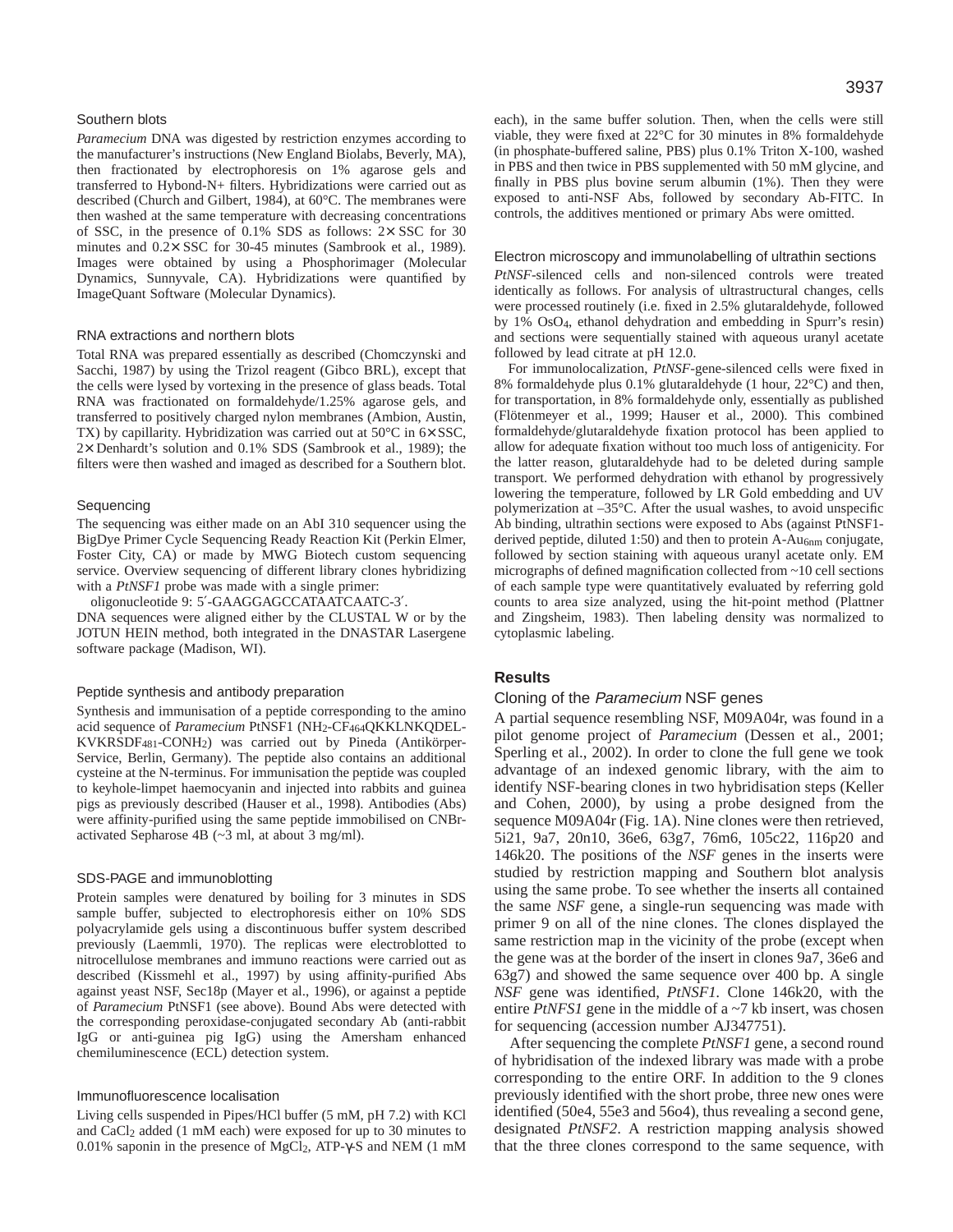## Southern blots

*Paramecium* DNA was digested by restriction enzymes according to the manufacturer's instructions (New England Biolabs, Beverly, MA), then fractionated by electrophoresis on 1% agarose gels and transferred to Hybond-N+ filters. Hybridizations were carried out as described (Church and Gilbert, 1984), at 60°C. The membranes were then washed at the same temperature with decreasing concentrations of SSC, in the presence of 0.1% SDS as follows: 2× SSC for 30 minutes and 0.2× SSC for 30-45 minutes (Sambrook et al., 1989). Images were obtained by using a Phosphorimager (Molecular Dynamics, Sunnyvale, CA). Hybridizations were quantified by ImageQuant Software (Molecular Dynamics).

#### RNA extractions and northern blots

Total RNA was prepared essentially as described (Chomczynski and Sacchi, 1987) by using the Trizol reagent (Gibco BRL), except that the cells were lysed by vortexing in the presence of glass beads. Total RNA was fractionated on formaldehyde/1.25% agarose gels, and transferred to positively charged nylon membranes (Ambion, Austin, TX) by capillarity. Hybridization was carried out at 50°C in 6× SSC, 2× Denhardt's solution and 0.1% SDS (Sambrook et al., 1989); the filters were then washed and imaged as described for a Southern blot.

## Sequencing

The sequencing was either made on an AbI 310 sequencer using the BigDye Primer Cycle Sequencing Ready Reaction Kit (Perkin Elmer, Foster City, CA) or made by MWG Biotech custom sequencing service. Overview sequencing of different library clones hybridizing with a *PtNSF1* probe was made with a single primer:

oligonucleotide 9: 5′-GAAGGAGCCATAATCAATC-3′.

DNA sequences were aligned either by the CLUSTAL W or by the JOTUN HEIN method, both integrated in the DNASTAR Lasergene software package (Madison, WI).

#### Peptide synthesis and antibody preparation

Synthesis and immunisation of a peptide corresponding to the amino acid sequence of *Paramecium* PtNSF1 (NH<sub>2</sub>-CF<sub>464</sub>QKKLNKQDEL-KVKRSDF481-CONH2) was carried out by Pineda (Antikörper-Service, Berlin, Germany). The peptide also contains an additional cysteine at the N-terminus. For immunisation the peptide was coupled to keyhole-limpet haemocyanin and injected into rabbits and guinea pigs as previously described (Hauser et al., 1998). Antibodies (Abs) were affinity-purified using the same peptide immobilised on CNBractivated Sepharose 4B (~3 ml, at about 3 mg/ml).

#### SDS-PAGE and immunoblotting

Protein samples were denatured by boiling for 3 minutes in SDS sample buffer, subjected to electrophoresis either on 10% SDS polyacrylamide gels using a discontinuous buffer system described previously (Laemmli, 1970). The replicas were electroblotted to nitrocellulose membranes and immuno reactions were carried out as described (Kissmehl et al., 1997) by using affinity-purified Abs against yeast NSF, Sec18p (Mayer et al., 1996), or against a peptide of *Paramecium* PtNSF1 (see above). Bound Abs were detected with the corresponding peroxidase-conjugated secondary Ab (anti-rabbit IgG or anti-guinea pig IgG) using the Amersham enhanced chemiluminescence (ECL) detection system.

#### Immunofluorescence localisation

Living cells suspended in Pipes/HCl buffer (5 mM, pH 7.2) with KCl and CaCl2 added (1 mM each) were exposed for up to 30 minutes to 0.01% saponin in the presence of MgCl2, ATP-γ-S and NEM (1 mM each), in the same buffer solution. Then, when the cells were still viable, they were fixed at 22°C for 30 minutes in 8% formaldehyde (in phosphate-buffered saline, PBS) plus 0.1% Triton X-100, washed in PBS and then twice in PBS supplemented with 50 mM glycine, and finally in PBS plus bovine serum albumin (1%). Then they were exposed to anti-NSF Abs, followed by secondary Ab-FITC. In controls, the additives mentioned or primary Abs were omitted.

#### Electron microscopy and immunolabelling of ultrathin sections

*PtNSF*-silenced cells and non-silenced controls were treated identically as follows. For analysis of ultrastructural changes, cells were processed routinely (i.e. fixed in 2.5% glutaraldehyde, followed by 1% OsO4, ethanol dehydration and embedding in Spurr's resin) and sections were sequentially stained with aqueous uranyl acetate followed by lead citrate at pH 12.0.

For immunolocalization, *PtNSF*-gene-silenced cells were fixed in 8% formaldehyde plus 0.1% glutaraldehyde (1 hour, 22°C) and then, for transportation, in 8% formaldehyde only, essentially as published (Flötenmeyer et al., 1999; Hauser et al., 2000). This combined formaldehyde/glutaraldehyde fixation protocol has been applied to allow for adequate fixation without too much loss of antigenicity. For the latter reason, glutaraldehyde had to be deleted during sample transport. We performed dehydration with ethanol by progressively lowering the temperature, followed by LR Gold embedding and UV polymerization at –35°C. After the usual washes, to avoid unspecific Ab binding, ultrathin sections were exposed to Abs (against PtNSF1 derived peptide, diluted 1:50) and then to protein  $A-Au_{6nm}$  conjugate, followed by section staining with aqueous uranyl acetate only. EM micrographs of defined magnification collected from ~10 cell sections of each sample type were quantitatively evaluated by referring gold counts to area size analyzed, using the hit-point method (Plattner and Zingsheim, 1983). Then labeling density was normalized to cytoplasmic labeling.

## **Results**

## Cloning of the Paramecium NSF genes

A partial sequence resembling NSF, M09A04r, was found in a pilot genome project of *Paramecium* (Dessen et al., 2001; Sperling et al., 2002). In order to clone the full gene we took advantage of an indexed genomic library, with the aim to identify NSF-bearing clones in two hybridisation steps (Keller and Cohen, 2000), by using a probe designed from the sequence M09A04r (Fig. 1A). Nine clones were then retrieved, 5i21, 9a7, 20n10, 36e6, 63g7, 76m6, 105c22, 116p20 and 146k20. The positions of the *NSF* genes in the inserts were studied by restriction mapping and Southern blot analysis using the same probe. To see whether the inserts all contained the same *NSF* gene, a single-run sequencing was made with primer 9 on all of the nine clones. The clones displayed the same restriction map in the vicinity of the probe (except when the gene was at the border of the insert in clones 9a7, 36e6 and 63g7) and showed the same sequence over 400 bp. A single *NSF* gene was identified, *PtNSF1.* Clone 146k20, with the entire *PtNFS1* gene in the middle of a  $\sim$ 7 kb insert, was chosen for sequencing (accession number AJ347751).

After sequencing the complete *PtNSF1* gene, a second round of hybridisation of the indexed library was made with a probe corresponding to the entire ORF. In addition to the 9 clones previously identified with the short probe, three new ones were identified (50e4, 55e3 and 56o4), thus revealing a second gene, designated *PtNSF2*. A restriction mapping analysis showed that the three clones correspond to the same sequence, with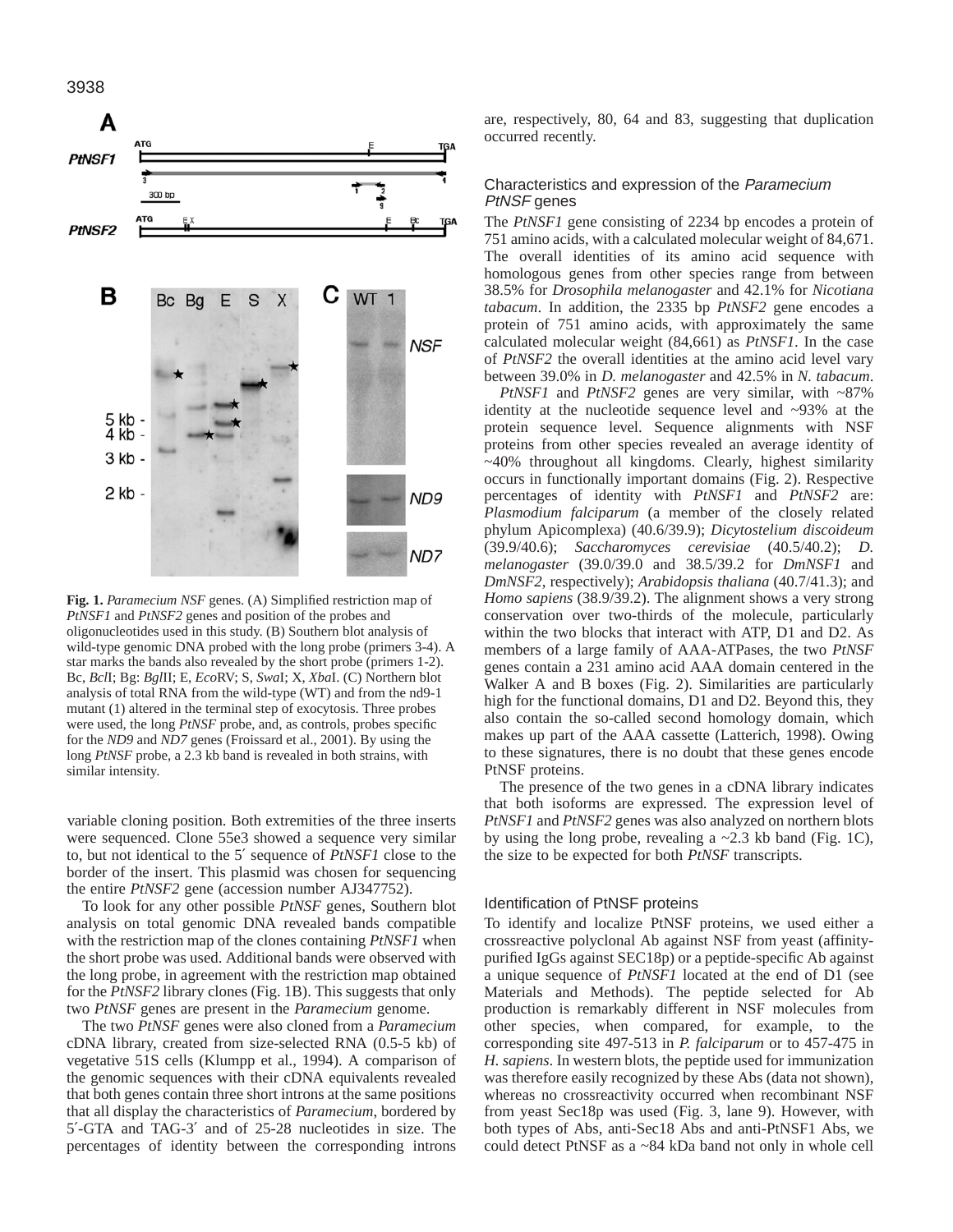3938



**Fig. 1.** *Paramecium NSF* genes. (A) Simplified restriction map of *PtNSF1* and *PtNSF2* genes and position of the probes and oligonucleotides used in this study. (B) Southern blot analysis of wild-type genomic DNA probed with the long probe (primers 3-4). A star marks the bands also revealed by the short probe (primers 1-2). Bc, *Bcl*I; Bg: *Bgl*II; E, *Eco*RV; S, *Swa*I; X, *Xba*I. (C) Northern blot analysis of total RNA from the wild-type (WT) and from the nd9-1 mutant (1) altered in the terminal step of exocytosis. Three probes were used, the long *PtNSF* probe, and, as controls, probes specific for the *ND9* and *ND7* genes (Froissard et al., 2001). By using the long *PtNSF* probe, a 2.3 kb band is revealed in both strains, with similar intensity.

variable cloning position. Both extremities of the three inserts were sequenced. Clone 55e3 showed a sequence very similar to, but not identical to the 5′ sequence of *PtNSF1* close to the border of the insert. This plasmid was chosen for sequencing the entire *PtNSF2* gene (accession number AJ347752).

To look for any other possible *PtNSF* genes, Southern blot analysis on total genomic DNA revealed bands compatible with the restriction map of the clones containing *PtNSF1* when the short probe was used. Additional bands were observed with the long probe, in agreement with the restriction map obtained for the *PtNSF2* library clones (Fig. 1B). This suggests that only two *PtNSF* genes are present in the *Paramecium* genome.

The two *PtNSF* genes were also cloned from a *Paramecium* cDNA library, created from size-selected RNA (0.5-5 kb) of vegetative 51S cells (Klumpp et al., 1994). A comparison of the genomic sequences with their cDNA equivalents revealed that both genes contain three short introns at the same positions that all display the characteristics of *Paramecium*, bordered by 5′-GTA and TAG-3′ and of 25-28 nucleotides in size. The percentages of identity between the corresponding introns

are, respectively, 80, 64 and 83, suggesting that duplication occurred recently.

# Characteristics and expression of the Paramecium PtNSF genes

The *PtNSF1* gene consisting of 2234 bp encodes a protein of 751 amino acids, with a calculated molecular weight of 84,671. The overall identities of its amino acid sequence with homologous genes from other species range from between 38.5% for *Drosophila melanogaster* and 42.1% for *Nicotiana tabacum*. In addition, the 2335 bp *PtNSF2* gene encodes a protein of 751 amino acids, with approximately the same calculated molecular weight (84,661) as *PtNSF1*. In the case of *PtNSF2* the overall identities at the amino acid level vary between 39.0% in *D. melanogaster* and 42.5% in *N. tabacum*.

*PtNSF1* and *PtNSF2* genes are very similar, with ~87% identity at the nucleotide sequence level and ~93% at the protein sequence level. Sequence alignments with NSF proteins from other species revealed an average identity of ~40% throughout all kingdoms. Clearly, highest similarity occurs in functionally important domains (Fig. 2). Respective percentages of identity with *PtNSF1* and *PtNSF2* are: *Plasmodium falciparum* (a member of the closely related phylum Apicomplexa) (40.6/39.9); *Dicytostelium discoideum* (39.9/40.6); *Saccharomyces cerevisiae* (40.5/40.2); *D. melanogaster* (39.0/39.0 and 38.5/39.2 for *DmNSF1* and *DmNSF2*, respectively); *Arabidopsis thaliana* (40.7/41.3); and *Homo sapiens* (38.9/39.2). The alignment shows a very strong conservation over two-thirds of the molecule, particularly within the two blocks that interact with ATP, D1 and D2. As members of a large family of AAA-ATPases, the two *PtNSF* genes contain a 231 amino acid AAA domain centered in the Walker A and B boxes (Fig. 2). Similarities are particularly high for the functional domains, D1 and D2. Beyond this, they also contain the so-called second homology domain, which makes up part of the AAA cassette (Latterich, 1998). Owing to these signatures, there is no doubt that these genes encode PtNSF proteins.

The presence of the two genes in a cDNA library indicates that both isoforms are expressed. The expression level of *PtNSF1* and *PtNSF2* genes was also analyzed on northern blots by using the long probe, revealing a ~2.3 kb band (Fig. 1C), the size to be expected for both *PtNSF* transcripts.

# Identification of PtNSF proteins

To identify and localize PtNSF proteins, we used either a crossreactive polyclonal Ab against NSF from yeast (affinitypurified IgGs against SEC18p) or a peptide-specific Ab against a unique sequence of *PtNSF1* located at the end of D1 (see Materials and Methods). The peptide selected for Ab production is remarkably different in NSF molecules from other species, when compared, for example, to the corresponding site 497-513 in *P. falciparum* or to 457-475 in *H. sapiens*. In western blots, the peptide used for immunization was therefore easily recognized by these Abs (data not shown), whereas no crossreactivity occurred when recombinant NSF from yeast Sec18p was used (Fig. 3, lane 9). However, with both types of Abs, anti-Sec18 Abs and anti-PtNSF1 Abs, we could detect PtNSF as a ~84 kDa band not only in whole cell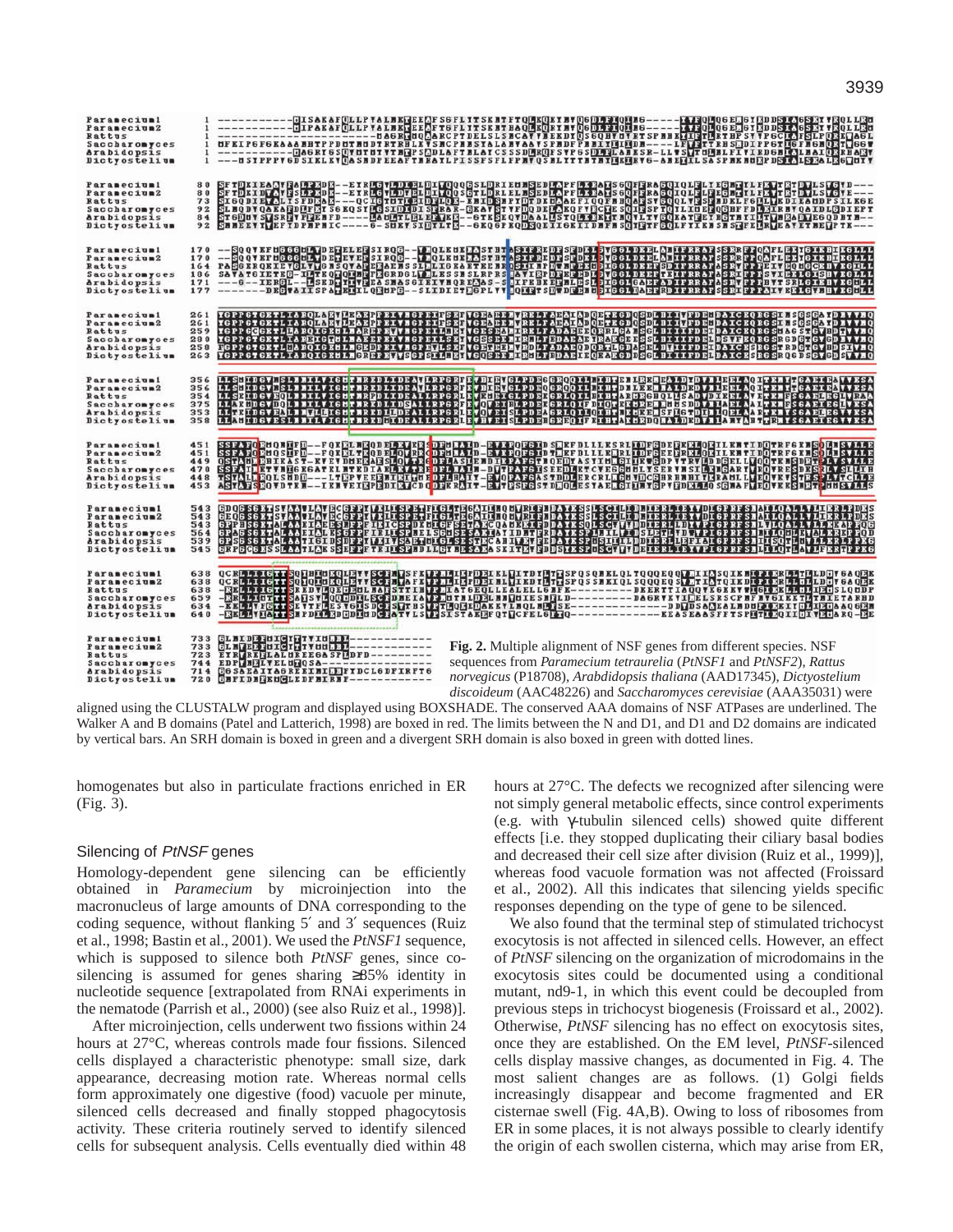| Paramecium1<br>Paramecium2<br>Rattus<br>Saccharonyces<br>Arabidopsis<br><b>Bictyostelium</b>             |                                        |                                                                                                                                                                                                            |                                                                                                                                                                                                                                                                                                                                    |
|----------------------------------------------------------------------------------------------------------|----------------------------------------|------------------------------------------------------------------------------------------------------------------------------------------------------------------------------------------------------------|------------------------------------------------------------------------------------------------------------------------------------------------------------------------------------------------------------------------------------------------------------------------------------------------------------------------------------|
| <b>Paramecium1</b><br>Paramecium2<br>Rattus<br>Saccharonyces<br>Arabidopsis<br>Dicty ostelium            | 80<br>80<br>73<br>92<br>84<br>92       |                                                                                                                                                                                                            | SFTDEIEASTRAGINA PRINS – EIRKSTWODEN DIE KREISE EIRKEN MODSORIT GETTDEN SONNTRÖORFTEKE SISTEMENTE AFT DEOP PR<br>SING DIE KALDEREN SGROSTE SE DIE EIRE DIE GEREICHER DIE EINE GEREICHE SONNER DER EIRKERE PRINS EIRE DIE ERER E<br>S                                                                                               |
| <b>Paramecium1</b><br>Paramecium <sub>2</sub><br>Rattus<br>Saccharonyces<br>Arabidopsis<br>Dictyostelium |                                        |                                                                                                                                                                                                            | 170 -- SOOTERHOGGUM PERLEE'S TROG--MOLEURIASTET ASTEREDE SEDKE POSELADITERRAFISSER EPOAFLEETO IN EGLLE<br>164 PASSER DE HOGGUM PERLE FERRE ES EL DOLEUR ET EN FRANCE EDIT DE SOLLE ELABITERRAFISSER EPOAFLEETO DE HERE<br>164 PASSER                                                                                               |
| <b>Parameciuml</b><br>Paramecium2<br>Rattus<br>Saccharonyces<br>Arabidopsis<br>Dicty ostelium            | 261<br>261<br>259<br>280<br>258<br>263 |                                                                                                                                                                                                            | <b>TOPP CTORTLIAROIR EINARDPRIT TOP EIN SKILLEN THE EINE ANDER ALL EN ASSECTED AND RELEVANCE EN ALL EN ANDERET EN</b><br>TOPP CTORTLIAROIG KILLARIER KIT TOP EI LEKT GESEEN LAKELF AND EIN SARAS GELE II II FDE INDAIC KORS STAS STOFI                                                                                             |
| Paramecium1<br>Paramecium2<br>Rattus<br>Saccharonyces<br>Arabidopsis<br>Dictyostelium                    | 356<br>356<br>354<br>375<br>353<br>358 |                                                                                                                                                                                                            | LL SLIDGY ESLABILY IGUE BREDLIDE ALLE PGENET OF EL SLED ELGERIO IF EL EL SLEG EN CHALGELA ET EN 1981 E SA ELEGYYKSA<br>LL SEIDGY EQLABILY IGUE BREDLIDE ALLE PGENET OF EINLE PD ELGERIO IL DI BTANCHO ALDE DI TILBEL ALLE SA EL E                                                                                                  |
| <b>Paramecium1</b><br>Paramecium <sub>2</sub><br>Rattus<br>Saccharonyces<br>Arabidopsis<br>Dictyostelium | 451<br>451<br>449<br>470<br>448<br>453 |                                                                                                                                                                                                            | SSEARCRHONIEN – FORELENCO ELAS EN SUPERIA DE ESTORGEN SIRFULLE SALENCERE EN EN SUR L'ENOTARE EN SOLLE EN SULL<br>OSTANDE EN TERE ES ATALL EN LA EN LA CARLE DE LA ENFRANCIA DE L'ESTORGEN DE L'ESTORGEN L'ENOTRE EN SOLLE SILL<br>OS                                                                                               |
| <b>Paramecium1</b><br>Paramecium2<br>Rattus<br>Saccharonyces<br><b>Arabidopsis</b><br>Dictyostelium      | 543<br>543<br>543<br>564<br>539<br>545 |                                                                                                                                                                                                            | OD OG SOKT SÅ SA LIANE EGT FRI SPENIE SPENIE OG EN STREAMET EN FRIDA IK SPUSCHTTDELE KLIERT FLOR KE STILLOGIAT<br>OF AG SOKTAL A BETANGS OF PERSIE SPENIE OF SE FLORIDE FRIDA IK SOLS CHTUDDIE KLIERT FLOR KE STALLOAL LY LEKER P                                                                                                  |
| <b>Paramecium1</b><br>Paramecium2<br>Rattus<br>Saccharonyces<br>Arabidopsis<br>Dicty ostelium            |                                        |                                                                                                                                                                                                            |                                                                                                                                                                                                                                                                                                                                    |
| Paramecium1<br>Paramecium <sub>2</sub><br>Rattus<br>Saccharonyces<br>Arabidopsis<br>Dictyostelium        | 714<br>720                             | 733 SLEEP BELOTITY IN BELL------------<br>723 EYR REEL ALUREE GA SPIDFD---------<br>744 EDPLEELTELUMQSA----------------<br><b>Ge SAEAITAGREEINILEFT DCL6DFIRFT6</b><br><b>SHIDNERMOLEDFRIRNF----------</b> | Fig. 2. Multiple alignment of NSF genes from different species. NSF<br>sequences from <i>Paramecium tetraurelia</i> ( <i>PtNSF1</i> and <i>PtNSF2</i> ), <i>Rattus</i><br>norvegicus (P18708), Arabdidopsis thaliana (AAD17345), Dictyostelium<br><i>discoideum</i> (AAC48226) and <i>Saccharomyces cerevisiae</i> (AAA35031) were |

aligned using the CLUSTALW program and displayed using BOXSHADE. The conserved AAA domains of NSF ATPases are underlined. The Walker A and B domains (Patel and Latterich, 1998) are boxed in red. The limits between the N and D1, and D1 and D2 domains are indicated by vertical bars. An SRH domain is boxed in green and a divergent SRH domain is also boxed in green with dotted lines.

homogenates but also in particulate fractions enriched in ER (Fig. 3).

## Silencing of PtNSF genes

Homology-dependent gene silencing can be efficiently obtained in *Paramecium* by microinjection into the macronucleus of large amounts of DNA corresponding to the coding sequence, without flanking 5′ and 3′ sequences (Ruiz et al., 1998; Bastin et al., 2001). We used the *PtNSF1* sequence, which is supposed to silence both *PtNSF* genes, since cosilencing is assumed for genes sharing ≥85% identity in nucleotide sequence [extrapolated from RNAi experiments in the nematode (Parrish et al., 2000) (see also Ruiz et al., 1998)].

After microinjection, cells underwent two fissions within 24 hours at 27°C, whereas controls made four fissions. Silenced cells displayed a characteristic phenotype: small size, dark appearance, decreasing motion rate. Whereas normal cells form approximately one digestive (food) vacuole per minute, silenced cells decreased and finally stopped phagocytosis activity. These criteria routinely served to identify silenced cells for subsequent analysis. Cells eventually died within 48 hours at 27°C. The defects we recognized after silencing were not simply general metabolic effects, since control experiments (e.g. with γ-tubulin silenced cells) showed quite different effects [i.e. they stopped duplicating their ciliary basal bodies and decreased their cell size after division (Ruiz et al., 1999)], whereas food vacuole formation was not affected (Froissard et al., 2002). All this indicates that silencing yields specific responses depending on the type of gene to be silenced.

We also found that the terminal step of stimulated trichocyst exocytosis is not affected in silenced cells. However, an effect of *PtNSF* silencing on the organization of microdomains in the exocytosis sites could be documented using a conditional mutant, nd9-1, in which this event could be decoupled from previous steps in trichocyst biogenesis (Froissard et al., 2002). Otherwise, *PtNSF* silencing has no effect on exocytosis sites, once they are established. On the EM level, *PtNSF*-silenced cells display massive changes, as documented in Fig. 4. The most salient changes are as follows. (1) Golgi fields increasingly disappear and become fragmented and ER cisternae swell (Fig. 4A,B). Owing to loss of ribosomes from ER in some places, it is not always possible to clearly identify the origin of each swollen cisterna, which may arise from ER,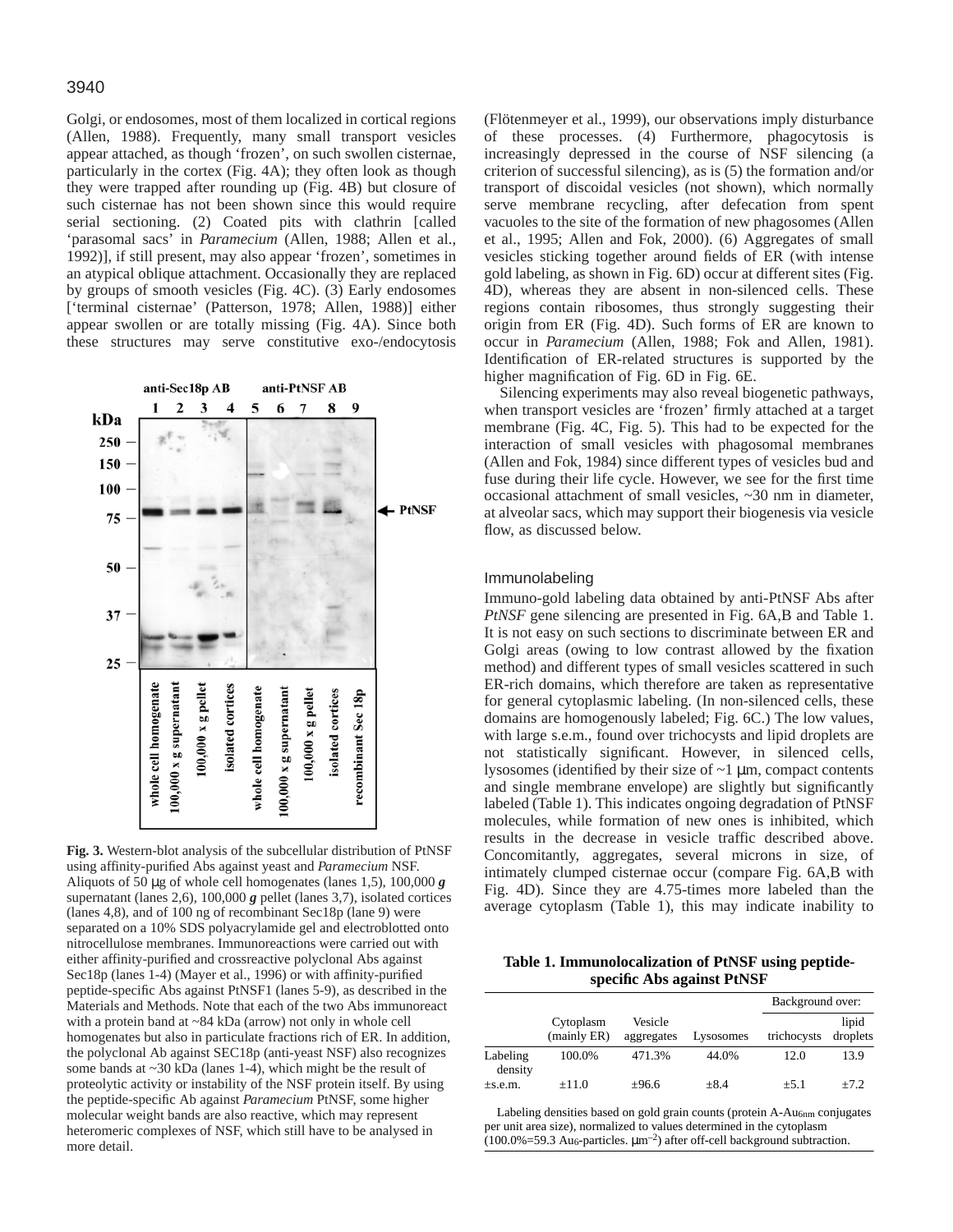## 3940

Golgi, or endosomes, most of them localized in cortical regions (Allen, 1988). Frequently, many small transport vesicles appear attached, as though 'frozen', on such swollen cisternae, particularly in the cortex (Fig. 4A); they often look as though they were trapped after rounding up (Fig. 4B) but closure of such cisternae has not been shown since this would require serial sectioning. (2) Coated pits with clathrin [called 'parasomal sacs' in *Paramecium* (Allen, 1988; Allen et al., 1992)], if still present, may also appear 'frozen', sometimes in an atypical oblique attachment. Occasionally they are replaced by groups of smooth vesicles (Fig. 4C). (3) Early endosomes ['terminal cisternae' (Patterson, 1978; Allen, 1988)] either appear swollen or are totally missing (Fig. 4A). Since both these structures may serve constitutive exo-/endocytosis



**Fig. 3.** Western-blot analysis of the subcellular distribution of PtNSF using affinity-purified Abs against yeast and *Paramecium* NSF. Aliquots of 50 µg of whole cell homogenates (lanes 1,5), 100,000 *g* supernatant (lanes 2,6), 100,000 *g* pellet (lanes 3,7), isolated cortices (lanes 4,8), and of 100 ng of recombinant Sec18p (lane 9) were separated on a 10% SDS polyacrylamide gel and electroblotted onto nitrocellulose membranes. Immunoreactions were carried out with either affinity-purified and crossreactive polyclonal Abs against Sec18p (lanes 1-4) (Mayer et al., 1996) or with affinity-purified peptide-specific Abs against PtNSF1 (lanes 5-9), as described in the Materials and Methods. Note that each of the two Abs immunoreact with a protein band at ~84 kDa (arrow) not only in whole cell homogenates but also in particulate fractions rich of ER. In addition, the polyclonal Ab against SEC18p (anti-yeast NSF) also recognizes some bands at ~30 kDa (lanes 1-4), which might be the result of proteolytic activity or instability of the NSF protein itself. By using the peptide-specific Ab against *Paramecium* PtNSF, some higher molecular weight bands are also reactive, which may represent heteromeric complexes of NSF, which still have to be analysed in more detail.

(Flötenmeyer et al., 1999), our observations imply disturbance of these processes. (4) Furthermore, phagocytosis is increasingly depressed in the course of NSF silencing (a criterion of successful silencing), as is (5) the formation and/or transport of discoidal vesicles (not shown), which normally serve membrane recycling, after defecation from spent vacuoles to the site of the formation of new phagosomes (Allen et al., 1995; Allen and Fok, 2000). (6) Aggregates of small vesicles sticking together around fields of ER (with intense gold labeling, as shown in Fig. 6D) occur at different sites (Fig. 4D), whereas they are absent in non-silenced cells. These regions contain ribosomes, thus strongly suggesting their origin from ER (Fig. 4D). Such forms of ER are known to occur in *Paramecium* (Allen, 1988; Fok and Allen, 1981). Identification of ER-related structures is supported by the higher magnification of Fig. 6D in Fig. 6E.

Silencing experiments may also reveal biogenetic pathways, when transport vesicles are 'frozen' firmly attached at a target membrane (Fig. 4C, Fig. 5). This had to be expected for the interaction of small vesicles with phagosomal membranes (Allen and Fok, 1984) since different types of vesicles bud and fuse during their life cycle. However, we see for the first time occasional attachment of small vesicles, ~30 nm in diameter, at alveolar sacs, which may support their biogenesis via vesicle flow, as discussed below.

#### Immunolabeling

Immuno-gold labeling data obtained by anti-PtNSF Abs after *PtNSF* gene silencing are presented in Fig. 6A,B and Table 1. It is not easy on such sections to discriminate between ER and Golgi areas (owing to low contrast allowed by the fixation method) and different types of small vesicles scattered in such ER-rich domains, which therefore are taken as representative for general cytoplasmic labeling. (In non-silenced cells, these domains are homogenously labeled; Fig. 6C.) The low values, with large s.e.m., found over trichocysts and lipid droplets are not statistically significant. However, in silenced cells, lysosomes (identified by their size of ~1 µm, compact contents and single membrane envelope) are slightly but significantly labeled (Table 1). This indicates ongoing degradation of PtNSF molecules, while formation of new ones is inhibited, which results in the decrease in vesicle traffic described above. Concomitantly, aggregates, several microns in size, of intimately clumped cisternae occur (compare Fig. 6A,B with Fig. 4D). Since they are 4.75-times more labeled than the average cytoplasm (Table 1), this may indicate inability to

**Table 1. Immunolocalization of PtNSF using peptidespecific Abs against PtNSF**

|                     | Cytoplasm<br>(mainly ER) | Vesicle<br>aggregates | Lysosomes | Background over: |                   |
|---------------------|--------------------------|-----------------------|-----------|------------------|-------------------|
|                     |                          |                       |           | trichocysts      | lipid<br>droplets |
| Labeling<br>density | 100.0%                   | 471.3%                | 44.0%     | 12.0             | 13.9              |
| $\pm$ s.e.m.        | $\pm 11.0$               | $\pm 96.6$            | $\pm 8.4$ | $+5.1$           | $+7.2$            |

Labeling densities based on gold grain counts (protein A-Au<sub>6nm</sub> conjugates per unit area size), normalized to values determined in the cytoplasm (100.0%=59.3 Au<sub>6</sub>-particles.  $\mu$ m<sup>-2</sup>) after off-cell background subtraction.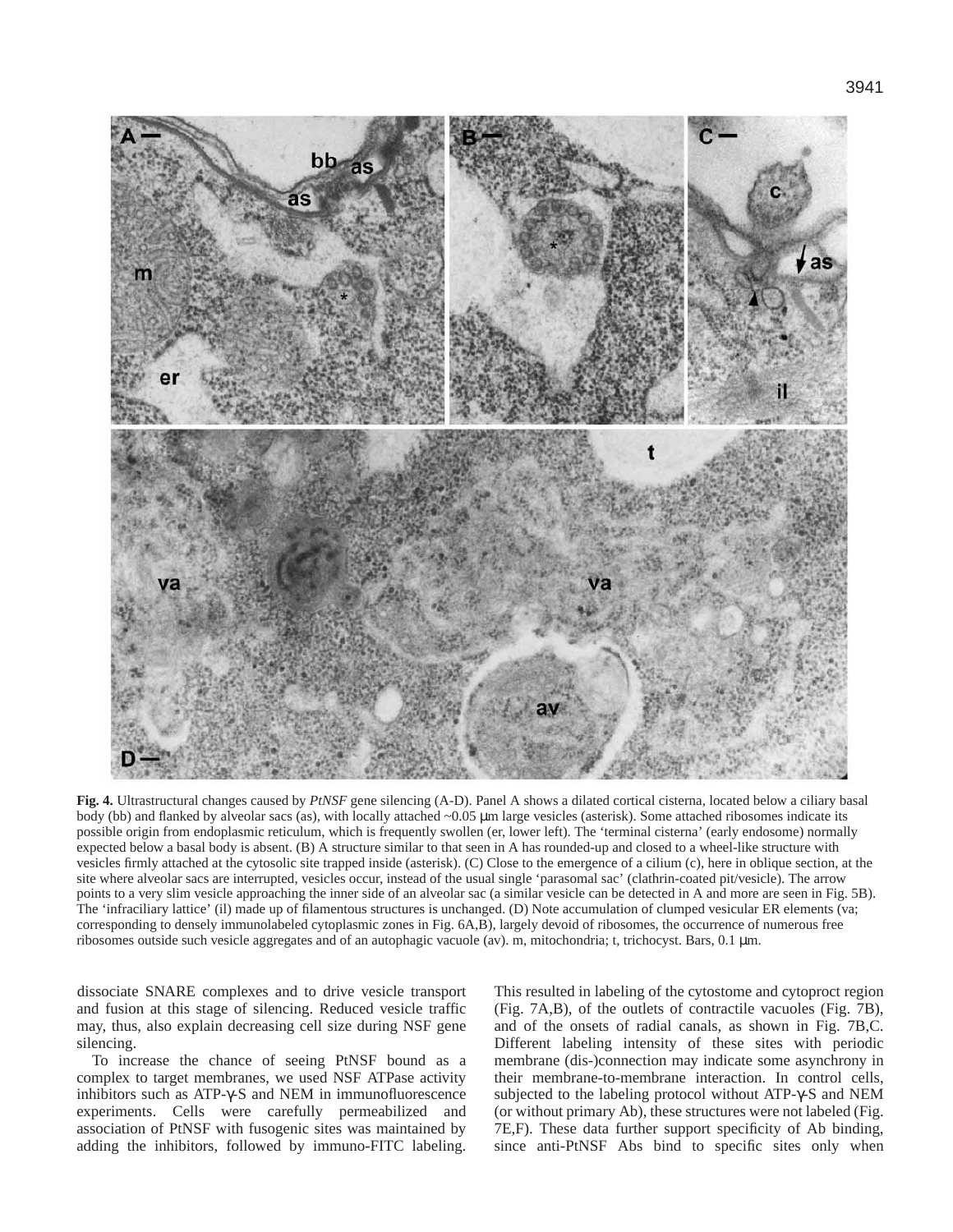

**Fig. 4.** Ultrastructural changes caused by *PtNSF* gene silencing (A-D). Panel A shows a dilated cortical cisterna, located below a ciliary basal body (bb) and flanked by alveolar sacs (as), with locally attached ~0.05 µm large vesicles (asterisk). Some attached ribosomes indicate its possible origin from endoplasmic reticulum, which is frequently swollen (er, lower left). The 'terminal cisterna' (early endosome) normally expected below a basal body is absent. (B) A structure similar to that seen in A has rounded-up and closed to a wheel-like structure with vesicles firmly attached at the cytosolic site trapped inside (asterisk). (C) Close to the emergence of a cilium (c), here in oblique section, at the site where alveolar sacs are interrupted, vesicles occur, instead of the usual single 'parasomal sac' (clathrin-coated pit/vesicle). The arrow points to a very slim vesicle approaching the inner side of an alveolar sac (a similar vesicle can be detected in A and more are seen in Fig. 5B). The 'infraciliary lattice' (il) made up of filamentous structures is unchanged. (D) Note accumulation of clumped vesicular ER elements (va; corresponding to densely immunolabeled cytoplasmic zones in Fig. 6A,B), largely devoid of ribosomes, the occurrence of numerous free ribosomes outside such vesicle aggregates and of an autophagic vacuole (av). m, mitochondria; t, trichocyst. Bars, 0.1 µm.

dissociate SNARE complexes and to drive vesicle transport and fusion at this stage of silencing. Reduced vesicle traffic may, thus, also explain decreasing cell size during NSF gene silencing.

To increase the chance of seeing PtNSF bound as a complex to target membranes, we used NSF ATPase activity inhibitors such as ATP-γ-S and NEM in immunofluorescence experiments. Cells were carefully permeabilized and association of PtNSF with fusogenic sites was maintained by adding the inhibitors, followed by immuno-FITC labeling. This resulted in labeling of the cytostome and cytoproct region (Fig. 7A,B), of the outlets of contractile vacuoles (Fig. 7B), and of the onsets of radial canals, as shown in Fig. 7B,C. Different labeling intensity of these sites with periodic membrane (dis-)connection may indicate some asynchrony in their membrane-to-membrane interaction. In control cells, subjected to the labeling protocol without ATP-γ-S and NEM (or without primary Ab), these structures were not labeled (Fig. 7E,F). These data further support specificity of Ab binding, since anti-PtNSF Abs bind to specific sites only when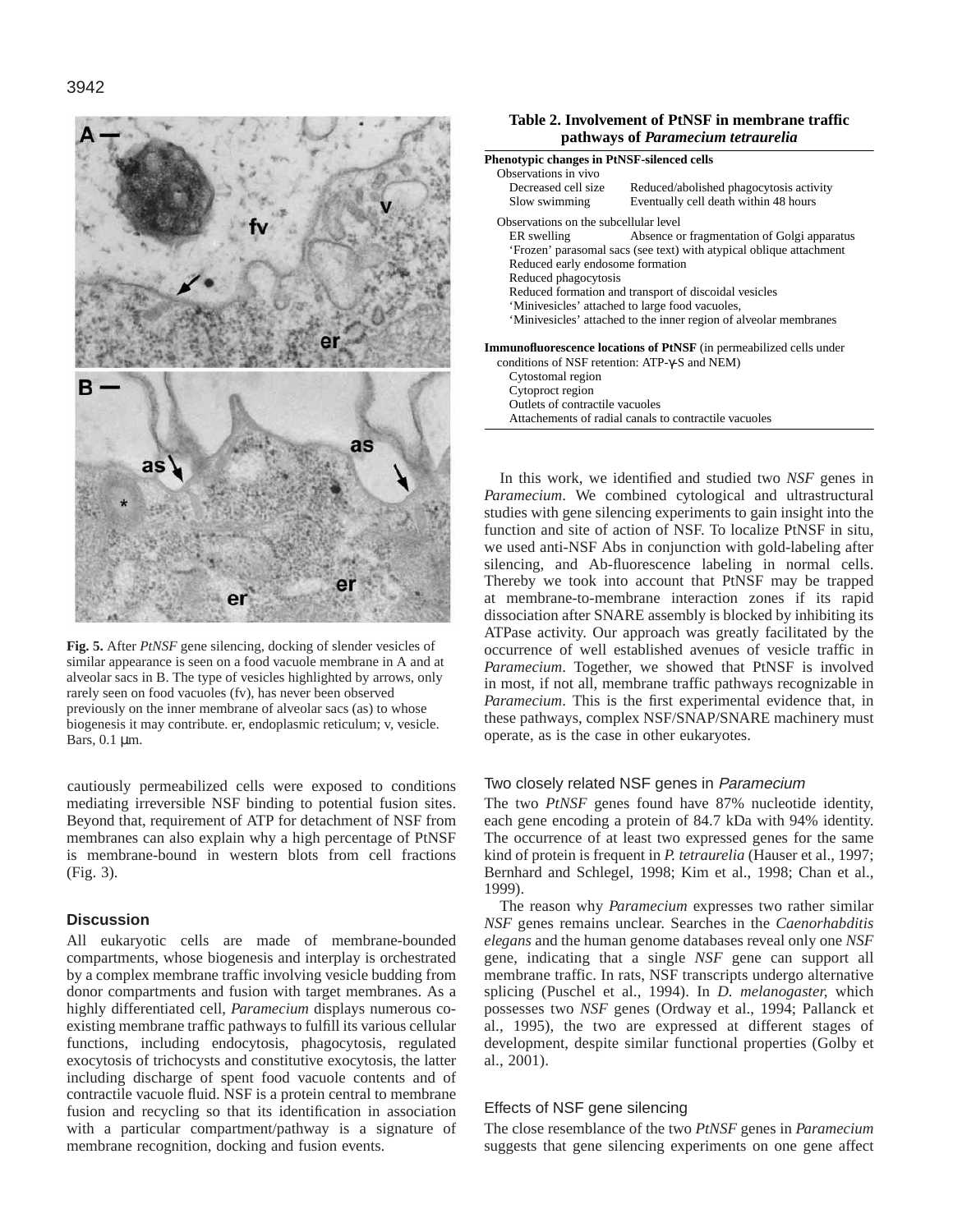

**Fig. 5.** After *PtNSF* gene silencing, docking of slender vesicles of similar appearance is seen on a food vacuole membrane in A and at alveolar sacs in B. The type of vesicles highlighted by arrows, only rarely seen on food vacuoles (fv), has never been observed previously on the inner membrane of alveolar sacs (as) to whose biogenesis it may contribute. er, endoplasmic reticulum; v, vesicle. Bars, 0.1 µm.

cautiously permeabilized cells were exposed to conditions mediating irreversible NSF binding to potential fusion sites. Beyond that, requirement of ATP for detachment of NSF from membranes can also explain why a high percentage of PtNSF is membrane-bound in western blots from cell fractions (Fig. 3).

## **Discussion**

All eukaryotic cells are made of membrane-bounded compartments, whose biogenesis and interplay is orchestrated by a complex membrane traffic involving vesicle budding from donor compartments and fusion with target membranes. As a highly differentiated cell, *Paramecium* displays numerous coexisting membrane traffic pathways to fulfill its various cellular functions, including endocytosis, phagocytosis, regulated exocytosis of trichocysts and constitutive exocytosis, the latter including discharge of spent food vacuole contents and of contractile vacuole fluid. NSF is a protein central to membrane fusion and recycling so that its identification in association with a particular compartment/pathway is a signature of membrane recognition, docking and fusion events.

# **Table 2. Involvement of PtNSF in membrane traffic pathways of** *Paramecium tetraurelia*

| Phenotypic changes in PtNSF-silenced cells                                 |                                             |  |  |  |  |  |  |  |
|----------------------------------------------------------------------------|---------------------------------------------|--|--|--|--|--|--|--|
| Observations in vivo                                                       |                                             |  |  |  |  |  |  |  |
| Decreased cell size                                                        | Reduced/abolished phagocytosis activity     |  |  |  |  |  |  |  |
| Slow swimming                                                              | Eventually cell death within 48 hours       |  |  |  |  |  |  |  |
| Observations on the subcellular level                                      |                                             |  |  |  |  |  |  |  |
| ER swelling                                                                | Absence or fragmentation of Golgi apparatus |  |  |  |  |  |  |  |
| 'Frozen' parasomal sacs (see text) with atypical oblique attachment        |                                             |  |  |  |  |  |  |  |
| Reduced early endosome formation                                           |                                             |  |  |  |  |  |  |  |
| Reduced phagocytosis                                                       |                                             |  |  |  |  |  |  |  |
| Reduced formation and transport of discoidal vesicles                      |                                             |  |  |  |  |  |  |  |
| 'Minivesicles' attached to large food vacuoles,                            |                                             |  |  |  |  |  |  |  |
| 'Minivesicles' attached to the inner region of alveolar membranes          |                                             |  |  |  |  |  |  |  |
| <b>Immunofluorescence locations of PtNSF</b> (in permeabilized cells under |                                             |  |  |  |  |  |  |  |
| conditions of NSF retention: ATP-γ-S and NEM)                              |                                             |  |  |  |  |  |  |  |
| Cytostomal region                                                          |                                             |  |  |  |  |  |  |  |
| Cytoproct region                                                           |                                             |  |  |  |  |  |  |  |
| Outlets of contractile vacuoles                                            |                                             |  |  |  |  |  |  |  |
| Attachements of radial canals to contractile vacuoles                      |                                             |  |  |  |  |  |  |  |

In this work, we identified and studied two *NSF* genes in *Paramecium*. We combined cytological and ultrastructural studies with gene silencing experiments to gain insight into the function and site of action of NSF. To localize PtNSF in situ, we used anti-NSF Abs in conjunction with gold-labeling after silencing, and Ab-fluorescence labeling in normal cells. Thereby we took into account that PtNSF may be trapped at membrane-to-membrane interaction zones if its rapid dissociation after SNARE assembly is blocked by inhibiting its ATPase activity. Our approach was greatly facilitated by the occurrence of well established avenues of vesicle traffic in *Paramecium*. Together, we showed that PtNSF is involved in most, if not all, membrane traffic pathways recognizable in *Paramecium*. This is the first experimental evidence that, in these pathways, complex NSF/SNAP/SNARE machinery must operate, as is the case in other eukaryotes.

# Two closely related NSF genes in Paramecium

The two *PtNSF* genes found have 87% nucleotide identity, each gene encoding a protein of 84.7 kDa with 94% identity. The occurrence of at least two expressed genes for the same kind of protein is frequent in *P. tetraurelia* (Hauser et al., 1997; Bernhard and Schlegel, 1998; Kim et al., 1998; Chan et al., 1999).

The reason why *Paramecium* expresses two rather similar *NSF* genes remains unclear. Searches in the *Caenorhabditis elegans* and the human genome databases reveal only one *NSF* gene, indicating that a single *NSF* gene can support all membrane traffic. In rats, NSF transcripts undergo alternative splicing (Puschel et al., 1994). In *D. melanogaster,* which possesses two *NSF* genes (Ordway et al., 1994; Pallanck et al., 1995), the two are expressed at different stages of development, despite similar functional properties (Golby et al., 2001).

## Effects of NSF gene silencing

The close resemblance of the two *PtNSF* genes in *Paramecium* suggests that gene silencing experiments on one gene affect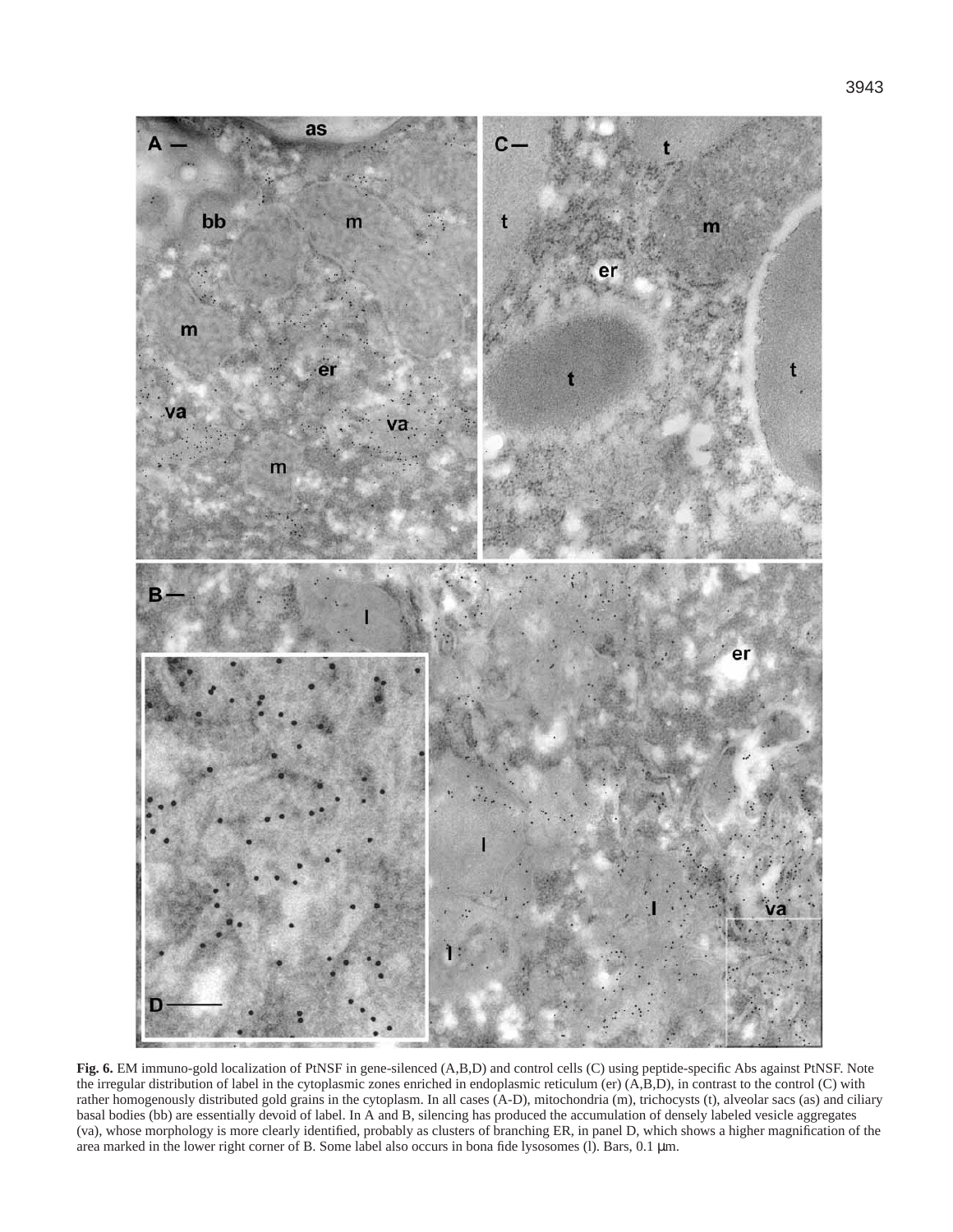

**Fig. 6.** EM immuno-gold localization of PtNSF in gene-silenced (A,B,D) and control cells (C) using peptide-specific Abs against PtNSF. Note the irregular distribution of label in the cytoplasmic zones enriched in endoplasmic reticulum (er) (A,B,D), in contrast to the control (C) with rather homogenously distributed gold grains in the cytoplasm. In all cases (A-D), mitochondria (m), trichocysts (t), alveolar sacs (as) and ciliary basal bodies (bb) are essentially devoid of label. In A and B, silencing has produced the accumulation of densely labeled vesicle aggregates (va), whose morphology is more clearly identified, probably as clusters of branching ER, in panel D, which shows a higher magnification of the area marked in the lower right corner of B. Some label also occurs in bona fide lysosomes (l). Bars, 0.1 µm.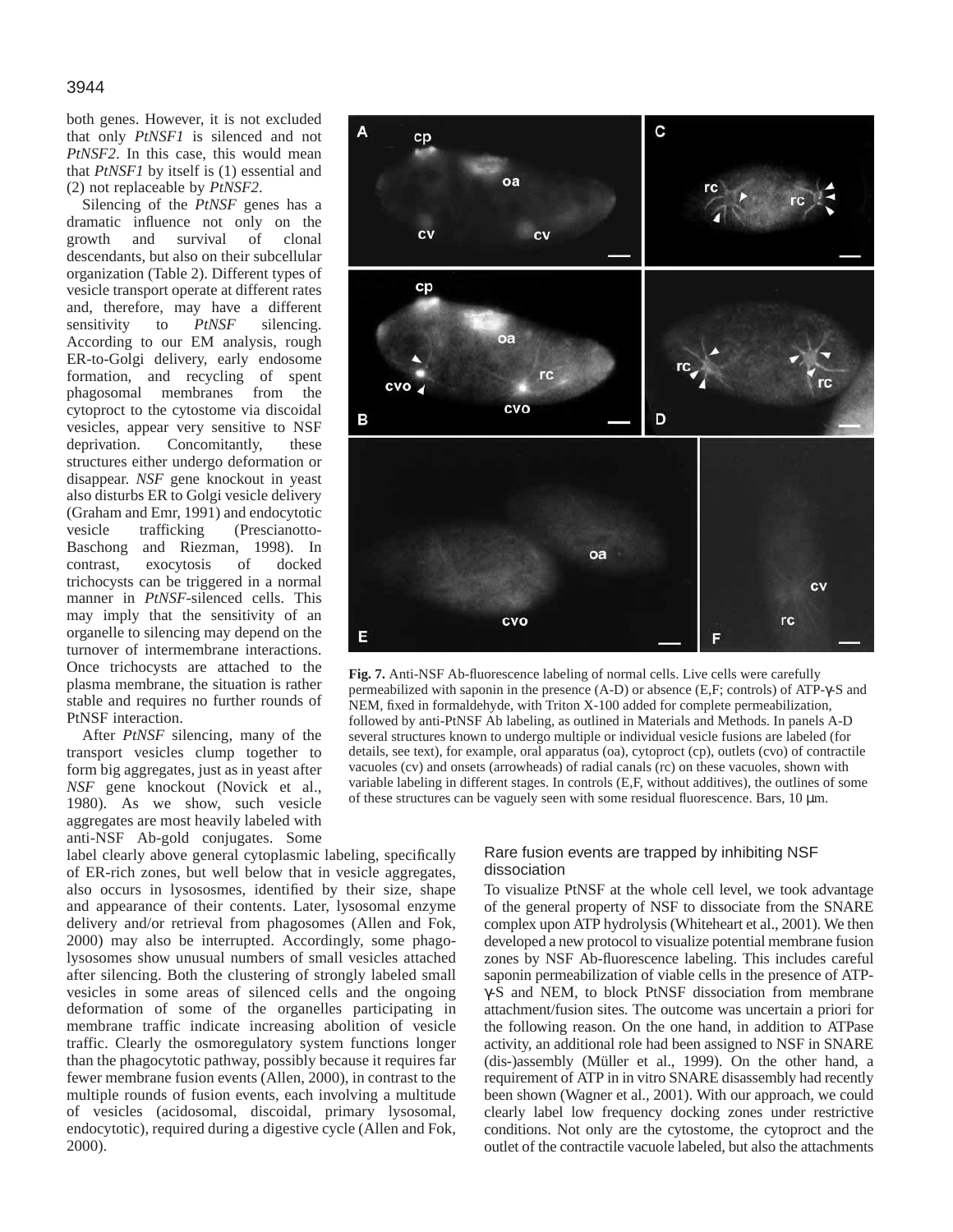both genes. However, it is not excluded that only *PtNSF1* is silenced and not *PtNSF2*. In this case, this would mean that *PtNSF1* by itself is (1) essential and (2) not replaceable by *PtNSF2*.

Silencing of the *PtNSF* genes has a dramatic influence not only on the<br>growth and survival of clonal and survival of clonal descendants, but also on their subcellular organization (Table 2). Different types of vesicle transport operate at different rates and, therefore, may have a different sensitivity to *PtNSF* silencing. According to our EM analysis, rough ER-to-Golgi delivery, early endosome formation, and recycling of spent phagosomal membranes from the cytoproct to the cytostome via discoidal vesicles, appear very sensitive to NSF deprivation. Concomitantly, these structures either undergo deformation or disappear. *NSF* gene knockout in yeast also disturbs ER to Golgi vesicle delivery (Graham and Emr, 1991) and endocytotic vesicle trafficking (Prescianotto-Baschong and Riezman, 1998). In contrast, exocytosis of docked contrast, exocytosis trichocysts can be triggered in a normal manner in *PtNSF*-silenced cells. This may imply that the sensitivity of an organelle to silencing may depend on the turnover of intermembrane interactions. Once trichocysts are attached to the plasma membrane, the situation is rather stable and requires no further rounds of PtNSF interaction.

After *PtNSF* silencing, many of the transport vesicles clump together to form big aggregates, just as in yeast after *NSF* gene knockout (Novick et al., 1980). As we show, such vesicle aggregates are most heavily labeled with anti-NSF Ab-gold conjugates. Some

label clearly above general cytoplasmic labeling, specifically of ER-rich zones, but well below that in vesicle aggregates, also occurs in lysososmes, identified by their size, shape and appearance of their contents. Later, lysosomal enzyme delivery and/or retrieval from phagosomes (Allen and Fok, 2000) may also be interrupted. Accordingly, some phagolysosomes show unusual numbers of small vesicles attached after silencing. Both the clustering of strongly labeled small vesicles in some areas of silenced cells and the ongoing deformation of some of the organelles participating in membrane traffic indicate increasing abolition of vesicle traffic. Clearly the osmoregulatory system functions longer than the phagocytotic pathway, possibly because it requires far fewer membrane fusion events (Allen, 2000), in contrast to the multiple rounds of fusion events, each involving a multitude of vesicles (acidosomal, discoidal, primary lysosomal, endocytotic), required during a digestive cycle (Allen and Fok, 2000).



**Fig. 7.** Anti-NSF Ab-fluorescence labeling of normal cells. Live cells were carefully permeabilized with saponin in the presence (A-D) or absence (E,F; controls) of ATP-γ-S and NEM, fixed in formaldehyde, with Triton X-100 added for complete permeabilization, followed by anti-PtNSF Ab labeling, as outlined in Materials and Methods. In panels A-D several structures known to undergo multiple or individual vesicle fusions are labeled (for details, see text), for example, oral apparatus (oa), cytoproct (cp), outlets (cvo) of contractile vacuoles (cv) and onsets (arrowheads) of radial canals (rc) on these vacuoles, shown with variable labeling in different stages. In controls (E,F, without additives), the outlines of some of these structures can be vaguely seen with some residual fluorescence. Bars, 10 µm.

# Rare fusion events are trapped by inhibiting NSF dissociation

To visualize PtNSF at the whole cell level, we took advantage of the general property of NSF to dissociate from the SNARE complex upon ATP hydrolysis (Whiteheart et al., 2001). We then developed a new protocol to visualize potential membrane fusion zones by NSF Ab-fluorescence labeling. This includes careful saponin permeabilization of viable cells in the presence of ATPγ-S and NEM, to block PtNSF dissociation from membrane attachment/fusion sites. The outcome was uncertain a priori for the following reason. On the one hand, in addition to ATPase activity, an additional role had been assigned to NSF in SNARE (dis-)assembly (Müller et al., 1999). On the other hand, a requirement of ATP in in vitro SNARE disassembly had recently been shown (Wagner et al., 2001). With our approach, we could clearly label low frequency docking zones under restrictive conditions. Not only are the cytostome, the cytoproct and the outlet of the contractile vacuole labeled, but also the attachments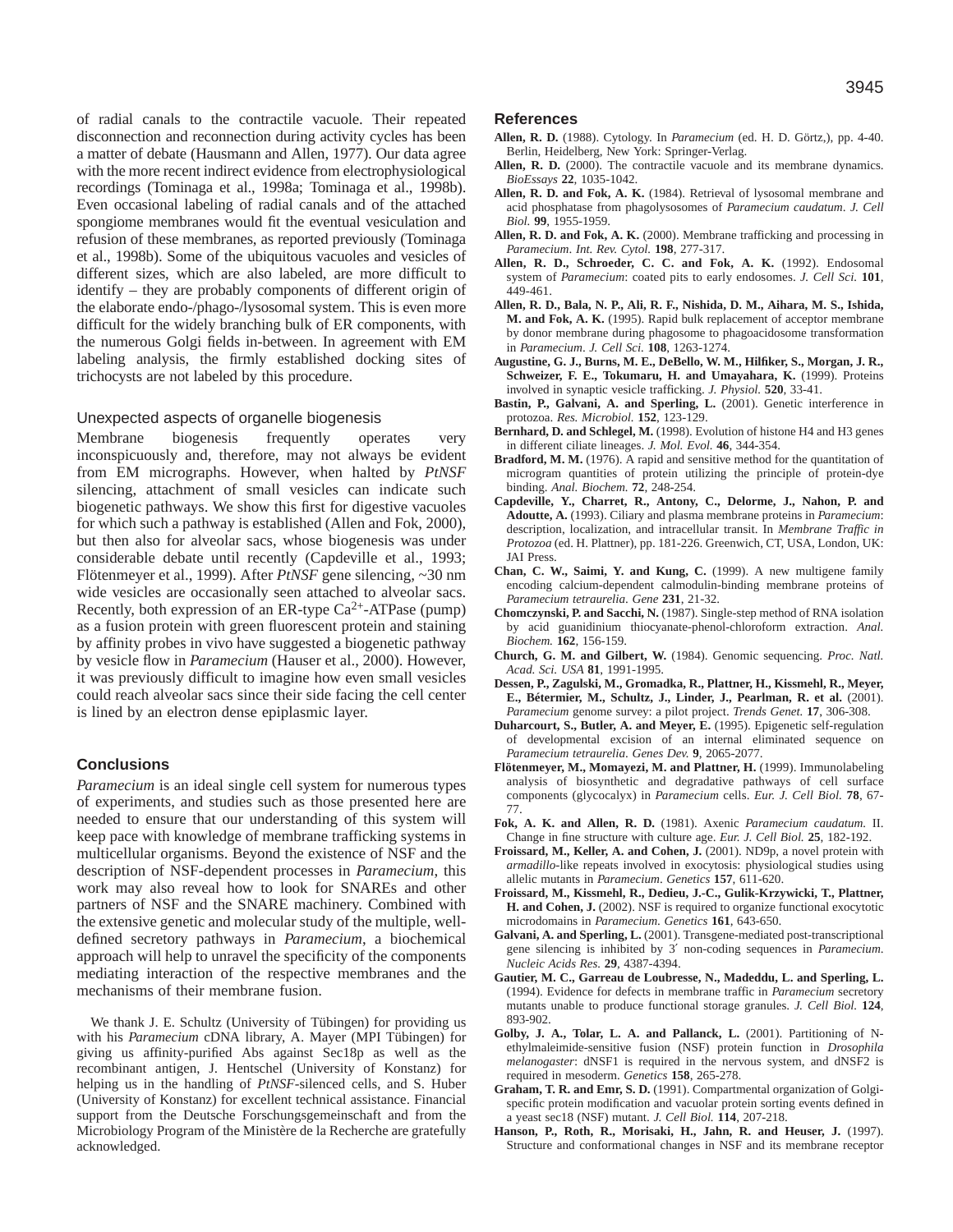of radial canals to the contractile vacuole. Their repeated disconnection and reconnection during activity cycles has been a matter of debate (Hausmann and Allen, 1977). Our data agree with the more recent indirect evidence from electrophysiological recordings (Tominaga et al., 1998a; Tominaga et al., 1998b). Even occasional labeling of radial canals and of the attached spongiome membranes would fit the eventual vesiculation and refusion of these membranes, as reported previously (Tominaga et al., 1998b). Some of the ubiquitous vacuoles and vesicles of different sizes, which are also labeled, are more difficult to identify – they are probably components of different origin of the elaborate endo-/phago-/lysosomal system. This is even more difficult for the widely branching bulk of ER components, with the numerous Golgi fields in-between. In agreement with EM labeling analysis, the firmly established docking sites of trichocysts are not labeled by this procedure.

## Unexpected aspects of organelle biogenesis

Membrane biogenesis frequently operates very inconspicuously and, therefore, may not always be evident from EM micrographs. However, when halted by *PtNSF* silencing, attachment of small vesicles can indicate such biogenetic pathways. We show this first for digestive vacuoles for which such a pathway is established (Allen and Fok, 2000), but then also for alveolar sacs, whose biogenesis was under considerable debate until recently (Capdeville et al., 1993; Flötenmeyer et al., 1999). After *PtNSF* gene silencing, ~30 nm wide vesicles are occasionally seen attached to alveolar sacs. Recently, both expression of an ER-type  $Ca^{2+}$ -ATPase (pump) as a fusion protein with green fluorescent protein and staining by affinity probes in vivo have suggested a biogenetic pathway by vesicle flow in *Paramecium* (Hauser et al., 2000). However, it was previously difficult to imagine how even small vesicles could reach alveolar sacs since their side facing the cell center is lined by an electron dense epiplasmic layer.

## **Conclusions**

*Paramecium* is an ideal single cell system for numerous types of experiments, and studies such as those presented here are needed to ensure that our understanding of this system will keep pace with knowledge of membrane trafficking systems in multicellular organisms. Beyond the existence of NSF and the description of NSF-dependent processes in *Paramecium*, this work may also reveal how to look for SNAREs and other partners of NSF and the SNARE machinery. Combined with the extensive genetic and molecular study of the multiple, welldefined secretory pathways in *Paramecium*, a biochemical approach will help to unravel the specificity of the components mediating interaction of the respective membranes and the mechanisms of their membrane fusion.

We thank J. E. Schultz (University of Tübingen) for providing us with his *Paramecium* cDNA library, A. Mayer (MPI Tübingen) for giving us affinity-purified Abs against Sec18p as well as the recombinant antigen, J. Hentschel (University of Konstanz) for helping us in the handling of *PtNSF*-silenced cells, and S. Huber (University of Konstanz) for excellent technical assistance. Financial support from the Deutsche Forschungsgemeinschaft and from the Microbiology Program of the Ministère de la Recherche are gratefully acknowledged.

#### **References**

- **Allen, R. D.** (1988). Cytology. In *Paramecium* (ed. H. D. Görtz,), pp. 4-40. Berlin, Heidelberg, New York: Springer-Verlag.
- Allen, R. D. (2000). The contractile vacuole and its membrane dynamics. *BioEssays* **22**, 1035-1042.
- **Allen, R. D. and Fok, A. K.** (1984). Retrieval of lysosomal membrane and acid phosphatase from phagolysosomes of *Paramecium caudatum*. *J. Cell Biol.* **99**, 1955-1959.
- **Allen, R. D. and Fok, A. K.** (2000). Membrane trafficking and processing in *Paramecium*. *Int. Rev. Cytol.* **198**, 277-317.
- **Allen, R. D., Schroeder, C. C. and Fok, A. K.** (1992). Endosomal system of *Paramecium*: coated pits to early endosomes. *J. Cell Sci.* **101**, 449-461.
- **Allen, R. D., Bala, N. P., Ali, R. F., Nishida, D. M., Aihara, M. S., Ishida, M. and Fok, A. K.** (1995). Rapid bulk replacement of acceptor membrane by donor membrane during phagosome to phagoacidosome transformation in *Paramecium*. *J. Cell Sci.* **108**, 1263-1274.
- **Augustine, G. J., Burns, M. E., DeBello, W. M., Hilfiker, S., Morgan, J. R.,** Schweizer, F. E., Tokumaru, H. and Umayahara, K. (1999). Proteins involved in synaptic vesicle trafficking. *J. Physiol.* **520**, 33-41.
- Bastin, P., Galvani, A. and Sperling, L. (2001). Genetic interference in protozoa. *Res. Microbiol.* **152**, 123-129.
- **Bernhard, D. and Schlegel, M.** (1998). Evolution of histone H4 and H3 genes in different ciliate lineages. *J. Mol. Evol.* **46**, 344-354.
- **Bradford, M. M.** (1976). A rapid and sensitive method for the quantitation of microgram quantities of protein utilizing the principle of protein-dye binding. *Anal. Biochem.* **72**, 248-254.
- **Capdeville, Y., Charret, R., Antony, C., Delorme, J., Nahon, P. and Adoutte, A.** (1993). Ciliary and plasma membrane proteins in *Paramecium*: description, localization, and intracellular transit. In *Membrane Traffic in Protozoa* (ed. H. Plattner), pp. 181-226. Greenwich, CT, USA, London, UK: JAI Press.
- **Chan, C. W., Saimi, Y. and Kung, C.** (1999). A new multigene family encoding calcium-dependent calmodulin-binding membrane proteins of *Paramecium tetraurelia*. *Gene* **231**, 21-32.
- **Chomczynski, P. and Sacchi, N.** (1987). Single-step method of RNA isolation by acid guanidinium thiocyanate-phenol-chloroform extraction. *Anal. Biochem.* **162**, 156-159.
- **Church, G. M. and Gilbert, W.** (1984). Genomic sequencing. *Proc. Natl. Acad. Sci. USA* **81**, 1991-1995.
- **Dessen, P., Zagulski, M., Gromadka, R., Plattner, H., Kissmehl, R., Meyer, E., Bétermier, M., Schultz, J., Linder, J., Pearlman, R. et al.** (2001). *Paramecium* genome survey: a pilot project. *Trends Genet.* **17**, 306-308.
- **Duharcourt, S., Butler, A. and Meyer, E.** (1995). Epigenetic self-regulation of developmental excision of an internal eliminated sequence on *Paramecium tetraurelia*. *Genes Dev.* **9**, 2065-2077.
- Flötenmeyer, M., Momayezi, M. and Plattner, H. (1999). Immunolabeling analysis of biosynthetic and degradative pathways of cell surface components (glycocalyx) in *Paramecium* cells. *Eur. J. Cell Biol.* **78**, 67- 77.
- **Fok, A. K. and Allen, R. D.** (1981). Axenic *Paramecium caudatum.* II. Change in fine structure with culture age. *Eur. J. Cell Biol.* **25**, 182-192.
- **Froissard, M., Keller, A. and Cohen, J.** (2001). ND9p, a novel protein with *armadillo*-like repeats involved in exocytosis: physiological studies using allelic mutants in *Paramecium*. *Genetics* **157**, 611-620.
- **Froissard, M., Kissmehl, R., Dedieu, J.-C., Gulik-Krzywicki, T., Plattner, H. and Cohen, J.** (2002). NSF is required to organize functional exocytotic microdomains in *Paramecium*. *Genetics* **161**, 643-650.
- Galvani, A. and Sperling, L. (2001). Transgene-mediated post-transcriptional gene silencing is inhibited by 3′ non-coding sequences in *Paramecium*. *Nucleic Acids Res.* **29**, 4387-4394.
- **Gautier, M. C., Garreau de Loubresse, N., Madeddu, L. and Sperling, L.** (1994). Evidence for defects in membrane traffic in *Paramecium* secretory mutants unable to produce functional storage granules. *J. Cell Biol.* **124**, 893-902.
- **Golby, J. A., Tolar, L. A. and Pallanck, L.** (2001). Partitioning of Nethylmaleimide-sensitive fusion (NSF) protein function in *Drosophila melanogaster*: dNSF1 is required in the nervous system, and dNSF2 is required in mesoderm. *Genetics* **158**, 265-278.
- **Graham, T. R. and Emr, S. D.** (1991). Compartmental organization of Golgispecific protein modification and vacuolar protein sorting events defined in a yeast sec18 (NSF) mutant. *J. Cell Biol.* **114**, 207-218.
- **Hanson, P., Roth, R., Morisaki, H., Jahn, R. and Heuser, J.** (1997). Structure and conformational changes in NSF and its membrane receptor